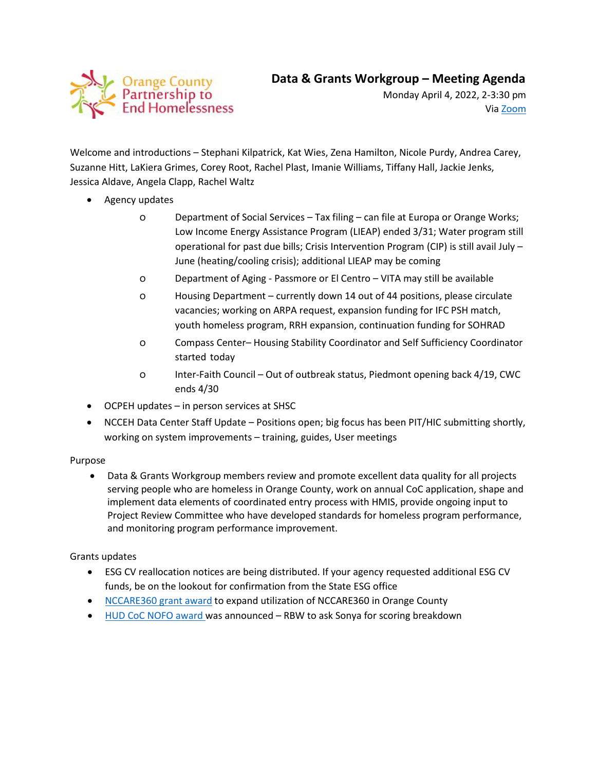

Monday April 4, 2022, 2-3:30 pm Via [Zoom](https://orangecountync.zoom.us/j/85241783763?pwd=MVhNbWlwNDNMS2k4U1habXRDTWJ4Zz09)

Welcome and introductions – Stephani Kilpatrick, Kat Wies, Zena Hamilton, Nicole Purdy, Andrea Carey, Suzanne Hitt, LaKiera Grimes, Corey Root, Rachel Plast, Imanie Williams, Tiffany Hall, Jackie Jenks, Jessica Aldave, Angela Clapp, Rachel Waltz

- Agency updates
	- o Department of Social Services Tax filing can file at Europa or Orange Works; Low Income Energy Assistance Program (LIEAP) ended 3/31; Water program still operational for past due bills; Crisis Intervention Program (CIP) is still avail July – June (heating/cooling crisis); additional LIEAP may be coming
	- o Department of Aging Passmore or El Centro VITA may still be available
	- o Housing Department currently down 14 out of 44 positions, please circulate vacancies; working on ARPA request, expansion funding for IFC PSH match, youth homeless program, RRH expansion, continuation funding for SOHRAD
	- o Compass Center– Housing Stability Coordinator and Self Sufficiency Coordinator started today
	- o Inter-Faith Council Out of outbreak status, Piedmont opening back 4/19, CWC ends 4/30
- OCPEH updates in person services at SHSC
- NCCEH Data Center Staff Update Positions open; big focus has been PIT/HIC submitting shortly, working on system improvements – training, guides, User meetings

## Purpose

• Data & Grants Workgroup members review and promote excellent data quality for all projects serving people who are homeless in Orange County, work on annual CoC application, shape and implement data elements of coordinated entry process with HMIS, provide ongoing input to Project Review Committee who have developed standards for homeless program performance, and monitoring program performance improvement.

## Grants updates

- ESG CV reallocation notices are being distributed. If your agency requested additional ESG CV funds, be on the lookout for confirmation from the State ESG office
- [NCCARE360 grant award](https://nccare360.org/community-funding/) to expand utilization of NCCARE360 in Orange County
- [HUD CoC NOFO](https://www.hud.gov/sites/dfiles/CPD/documents/FY2021_NC_Press_Report.pdf) award was announced RBW to ask Sonya for scoring breakdown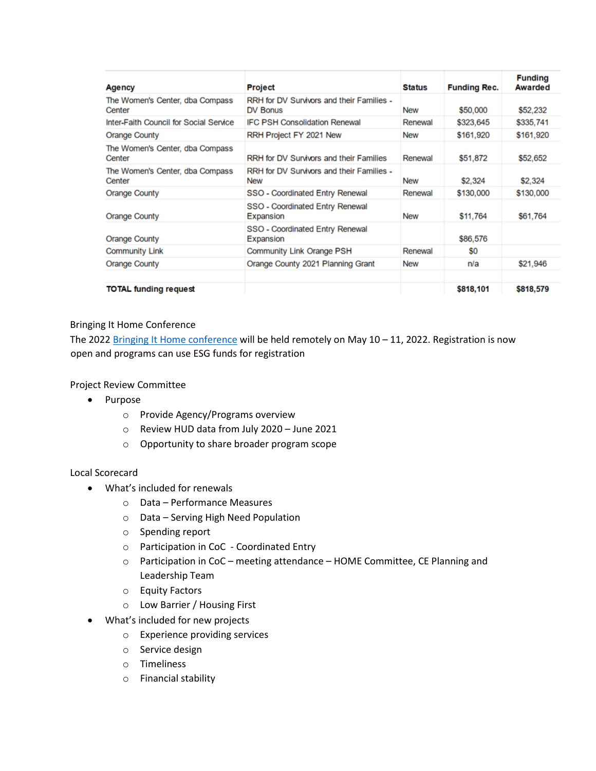| Agency                                    | <b>Project</b>                                               | <b>Status</b> | <b>Funding Rec.</b> | <b>Funding</b><br><b>Awarded</b> |
|-------------------------------------------|--------------------------------------------------------------|---------------|---------------------|----------------------------------|
| The Women's Center, dba Compass<br>Center | RRH for DV Survivors and their Families -<br><b>DV Bonus</b> | <b>New</b>    | \$50,000            | \$52,232                         |
| Inter-Faith Council for Social Service    | <b>IFC PSH Consolidation Renewal</b>                         | Renewal       | \$323,645           | \$335,741                        |
| <b>Orange County</b>                      | RRH Project FY 2021 New                                      | <b>New</b>    | \$161,920           | \$161,920                        |
| The Women's Center, dba Compass<br>Center | RRH for DV Survivors and their Families                      | Renewal       | \$51,872            | \$52,652                         |
| The Women's Center, dba Compass<br>Center | RRH for DV Survivors and their Families -<br><b>New</b>      | <b>New</b>    | \$2,324             | \$2,324                          |
| <b>Orange County</b>                      | SSO - Coordinated Entry Renewal                              | Renewal       | \$130,000           | \$130,000                        |
| <b>Orange County</b>                      | SSO - Coordinated Entry Renewal<br>Expansion                 | <b>New</b>    | \$11,764            | \$61,764                         |
| <b>Orange County</b>                      | SSO - Coordinated Entry Renewal<br>Expansion                 |               | \$86,576            |                                  |
| <b>Community Link</b>                     | Community Link Orange PSH                                    | Renewal       | S0                  |                                  |
| <b>Orange County</b>                      | Orange County 2021 Planning Grant                            | <b>New</b>    | n/a                 | \$21,946                         |
| <b>TOTAL funding request</b>              |                                                              |               | \$818,101           | \$818,579                        |

## Bringing It Home Conference

The 2022 [Bringing It Home conference](https://nchousing.org/bringing-it-home-2022/) will be held remotely on May 10 - 11, 2022. Registration is now open and programs can use ESG funds for registration

Project Review Committee

- Purpose
	- o Provide Agency/Programs overview
	- o Review HUD data from July 2020 June 2021
	- o Opportunity to share broader program scope

## Local Scorecard

- What's included for renewals
	- o Data Performance Measures
	- o Data Serving High Need Population
	- o Spending report
	- o Participation in CoC Coordinated Entry
	- o Participation in CoC meeting attendance HOME Committee, CE Planning and Leadership Team
	- o Equity Factors
	- o Low Barrier / Housing First
- What's included for new projects
	- o Experience providing services
	- o Service design
	- o Timeliness
	- o Financial stability